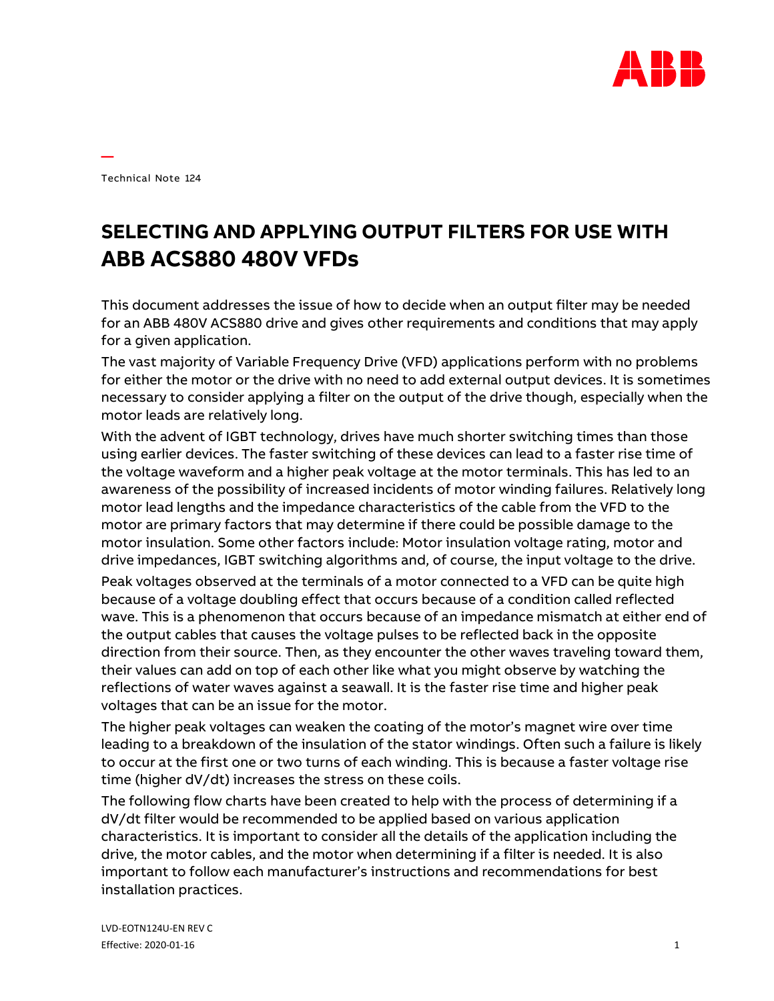

Technical Note 124

**—**

## **SELECTING AND APPLYING OUTPUT FILTERS FOR USE WITH ABB ACS880 480V VFDs**

This document addresses the issue of how to decide when an output filter may be needed for an ABB 480V ACS880 drive and gives other requirements and conditions that may apply for a given application.

The vast majority of Variable Frequency Drive (VFD) applications perform with no problems for either the motor or the drive with no need to add external output devices. It is sometimes necessary to consider applying a filter on the output of the drive though, especially when the motor leads are relatively long.

With the advent of IGBT technology, drives have much shorter switching times than those using earlier devices. The faster switching of these devices can lead to a faster rise time of the voltage waveform and a higher peak voltage at the motor terminals. This has led to an awareness of the possibility of increased incidents of motor winding failures. Relatively long motor lead lengths and the impedance characteristics of the cable from the VFD to the motor are primary factors that may determine if there could be possible damage to the motor insulation. Some other factors include: Motor insulation voltage rating, motor and drive impedances, IGBT switching algorithms and, of course, the input voltage to the drive.

Peak voltages observed at the terminals of a motor connected to a VFD can be quite high because of a voltage doubling effect that occurs because of a condition called reflected wave. This is a phenomenon that occurs because of an impedance mismatch at either end of the output cables that causes the voltage pulses to be reflected back in the opposite direction from their source. Then, as they encounter the other waves traveling toward them, their values can add on top of each other like what you might observe by watching the reflections of water waves against a seawall. It is the faster rise time and higher peak voltages that can be an issue for the motor.

The higher peak voltages can weaken the coating of the motor's magnet wire over time leading to a breakdown of the insulation of the stator windings. Often such a failure is likely to occur at the first one or two turns of each winding. This is because a faster voltage rise time (higher dV/dt) increases the stress on these coils.

The following flow charts have been created to help with the process of determining if a dV/dt filter would be recommended to be applied based on various application characteristics. It is important to consider all the details of the application including the drive, the motor cables, and the motor when determining if a filter is needed. It is also important to follow each manufacturer's instructions and recommendations for best installation practices.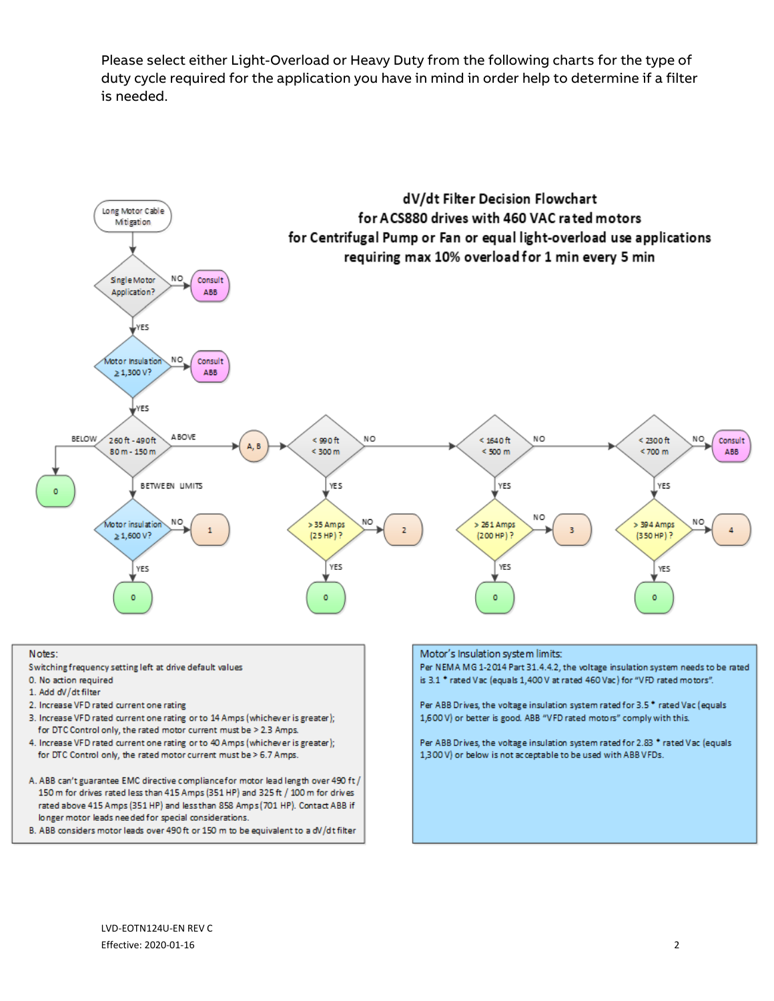Please select either Light-Overload or Heavy Duty from the following charts for the type of duty cycle required for the application you have in mind in order help to determine if a filter is needed.